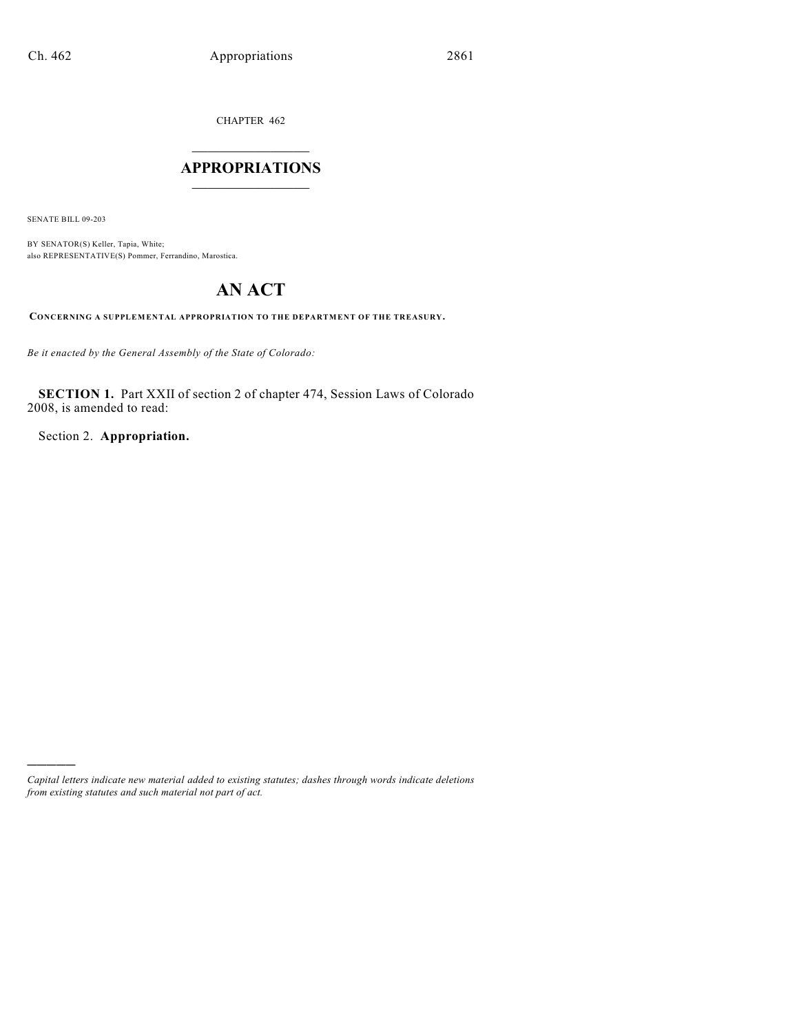CHAPTER 462

## $\overline{\phantom{a}}$  . The set of the set of the set of the set of the set of the set of the set of the set of the set of the set of the set of the set of the set of the set of the set of the set of the set of the set of the set o **APPROPRIATIONS**  $\_$   $\_$   $\_$   $\_$   $\_$   $\_$   $\_$   $\_$

SENATE BILL 09-203

)))))

BY SENATOR(S) Keller, Tapia, White; also REPRESENTATIVE(S) Pommer, Ferrandino, Marostica.

# **AN ACT**

**CONCERNING A SUPPLEMENTAL APPROPRIATION TO THE DEPARTMENT OF THE TREASURY.**

*Be it enacted by the General Assembly of the State of Colorado:*

**SECTION 1.** Part XXII of section 2 of chapter 474, Session Laws of Colorado 2008, is amended to read:

Section 2. **Appropriation.**

*Capital letters indicate new material added to existing statutes; dashes through words indicate deletions from existing statutes and such material not part of act.*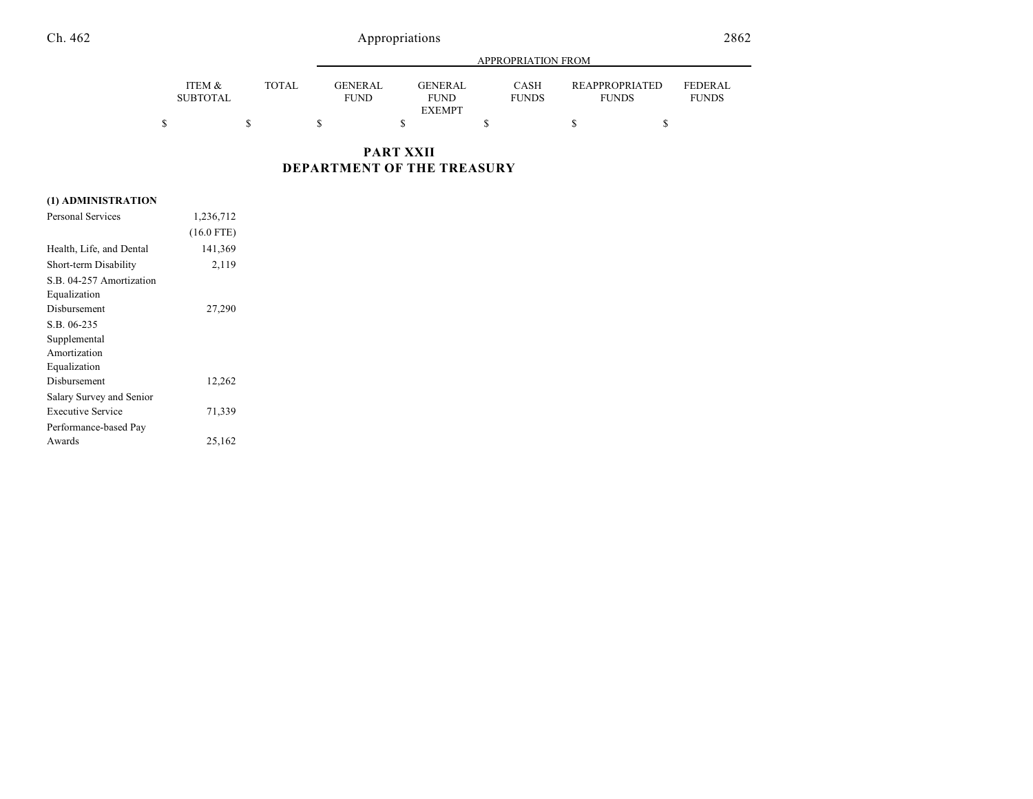## Ch. 462 Appropriations 2862

|                           |              |                               | APPROPRIATION FROM                             |                             |                                |                                |
|---------------------------|--------------|-------------------------------|------------------------------------------------|-----------------------------|--------------------------------|--------------------------------|
| ITEM &<br><b>SUBTOTAL</b> | <b>TOTAL</b> | <b>GENERAL</b><br><b>FUND</b> | <b>GENERAL</b><br><b>FUND</b><br><b>EXEMPT</b> | <b>CASH</b><br><b>FUNDS</b> | REAPPROPRIATED<br><b>FUNDS</b> | <b>FEDERAL</b><br><b>FUNDS</b> |
|                           |              |                               |                                                |                             |                                |                                |

## **PART XXII DEPARTMENT OF THE TREASURY**

### **(1) ADMINISTRATION**

| Personal Services        | 1,236,712    |  |
|--------------------------|--------------|--|
|                          | $(16.0$ FTE) |  |
| Health, Life, and Dental | 141,369      |  |
| Short-term Disability    | 2,119        |  |
| S.B. 04-257 Amortization |              |  |
| Equalization             |              |  |
| Disbursement             | 27,290       |  |
| S.B. 06-235              |              |  |
| Supplemental             |              |  |
| Amortization             |              |  |
| Equalization             |              |  |
| Disbursement             | 12,262       |  |
| Salary Survey and Senior |              |  |
| <b>Executive Service</b> | 71,339       |  |
| Performance-based Pay    |              |  |
| Awards                   | 25,162       |  |
|                          |              |  |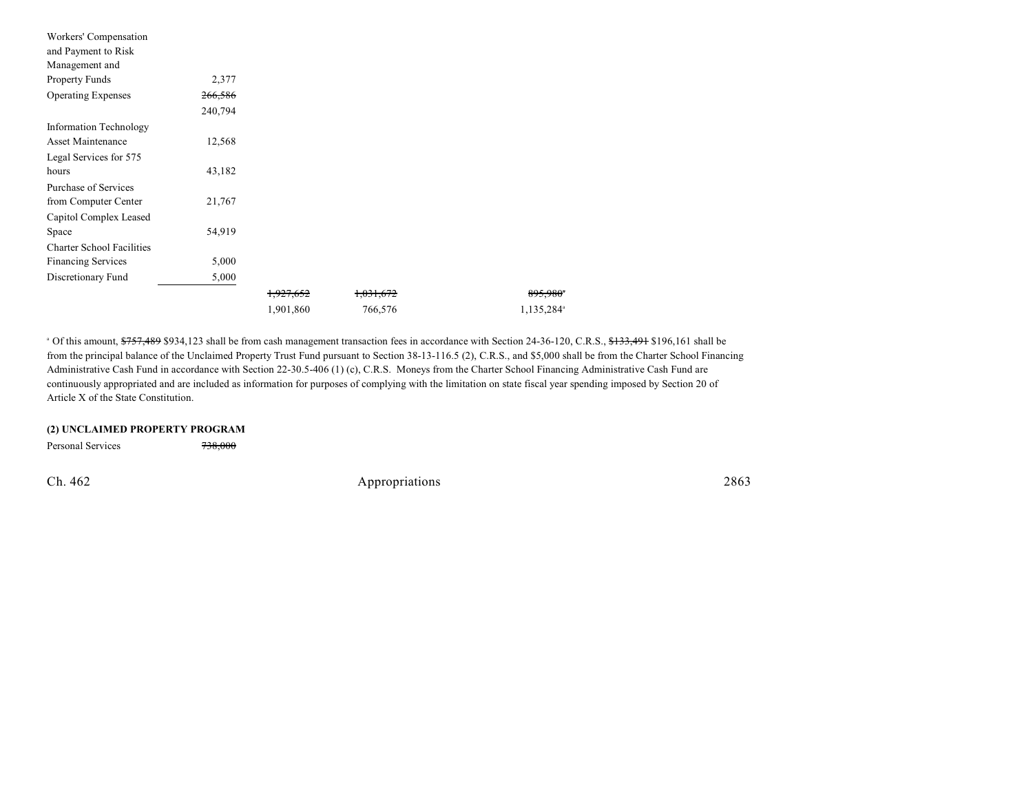| Workers' Compensation            |         |                      |           |                        |
|----------------------------------|---------|----------------------|-----------|------------------------|
| and Payment to Risk              |         |                      |           |                        |
| Management and                   |         |                      |           |                        |
| Property Funds                   | 2,377   |                      |           |                        |
| <b>Operating Expenses</b>        | 266,586 |                      |           |                        |
|                                  | 240,794 |                      |           |                        |
| Information Technology           |         |                      |           |                        |
| Asset Maintenance                | 12,568  |                      |           |                        |
| Legal Services for 575           |         |                      |           |                        |
| hours                            | 43,182  |                      |           |                        |
| Purchase of Services             |         |                      |           |                        |
| from Computer Center             | 21,767  |                      |           |                        |
| Capitol Complex Leased           |         |                      |           |                        |
| Space                            | 54,919  |                      |           |                        |
| <b>Charter School Facilities</b> |         |                      |           |                        |
| <b>Financing Services</b>        | 5,000   |                      |           |                        |
| Discretionary Fund               | 5,000   |                      |           |                        |
|                                  |         | <del>1,927,652</del> | 1,031,672 | 895,980 <sup>*</sup>   |
|                                  |         | 1,901,860            | 766,576   | 1,135,284 <sup>a</sup> |

<sup>a</sup> Of this amount, \$757,489 \$934,123 shall be from cash management transaction fees in accordance with Section 24-36-120, C.R.S., \$133,491 \$196,161 shall be from the principal balance of the Unclaimed Property Trust Fund pursuant to Section 38-13-116.5 (2), C.R.S., and \$5,000 shall be from the Charter School Financing Administrative Cash Fund in accordance with Section 22-30.5-406 (1) (c), C.R.S. Moneys from the Charter School Financing Administrative Cash Fund are continuously appropriated and are included as information for purposes of complying with the limitation on state fiscal year spending imposed by Section 20 of Article X of the State Constitution.

### **(2) UNCLAIMED PROPERTY PROGRAM**

Personal Services 738,000

Ch. 462 Appropriations 2863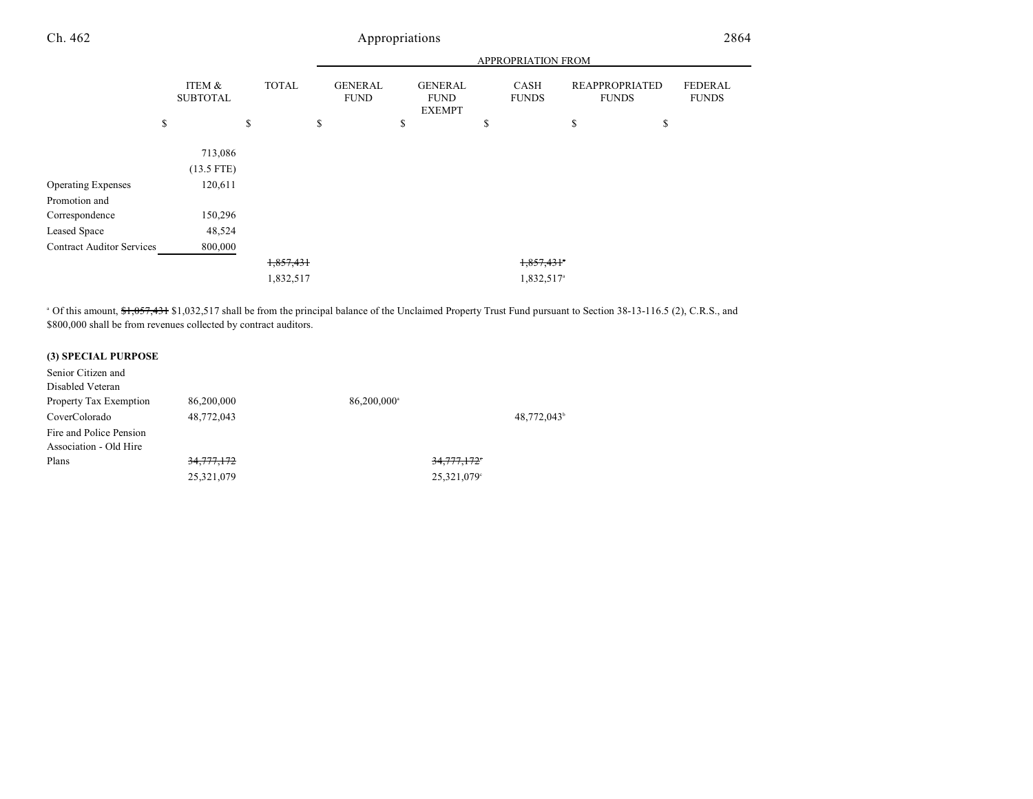## Ch. 462 Appropriations 2864

|                                  |                           |              |                               | APPROPRIATION FROM                             |    |                        |                                       |                                |  |
|----------------------------------|---------------------------|--------------|-------------------------------|------------------------------------------------|----|------------------------|---------------------------------------|--------------------------------|--|
|                                  | ITEM &<br><b>SUBTOTAL</b> | <b>TOTAL</b> | <b>GENERAL</b><br><b>FUND</b> | <b>GENERAL</b><br><b>FUND</b><br><b>EXEMPT</b> |    | CASH<br><b>FUNDS</b>   | <b>REAPPROPRIATED</b><br><b>FUNDS</b> | <b>FEDERAL</b><br><b>FUNDS</b> |  |
|                                  | \$                        | \$           | \$                            | \$                                             | \$ |                        | \$                                    | \$                             |  |
|                                  | 713,086<br>$(13.5$ FTE)   |              |                               |                                                |    |                        |                                       |                                |  |
| <b>Operating Expenses</b>        | 120,611                   |              |                               |                                                |    |                        |                                       |                                |  |
| Promotion and                    |                           |              |                               |                                                |    |                        |                                       |                                |  |
| Correspondence                   | 150,296                   |              |                               |                                                |    |                        |                                       |                                |  |
| Leased Space                     | 48,524                    |              |                               |                                                |    |                        |                                       |                                |  |
| <b>Contract Auditor Services</b> | 800,000                   |              |                               |                                                |    |                        |                                       |                                |  |
|                                  |                           | 1,857,431    |                               |                                                |    | 1,857,431              |                                       |                                |  |
|                                  |                           | 1,832,517    |                               |                                                |    | 1,832,517 <sup>a</sup> |                                       |                                |  |

<sup>a</sup> Of this amount, \$1,057,431 \$1,032,517 shall be from the principal balance of the Unclaimed Property Trust Fund pursuant to Section 38-13-116.5 (2), C.R.S., and \$800,000 shall be from revenues collected by contract auditors.

### **(3) SPECIAL PURPOSE**

| Senior Citizen and      |            |                         |            |
|-------------------------|------------|-------------------------|------------|
| Disabled Veteran        |            |                         |            |
| Property Tax Exemption  | 86,200,000 | 86,200,000 <sup>a</sup> |            |
| CoverColorado           | 48,772,043 |                         | 48,772,043 |
| Fire and Police Pension |            |                         |            |
| Association - Old Hire  |            |                         |            |
| Plans                   | 34,777,172 | 34,777,172°             |            |
|                         | 25,321,079 | 25,321,079°             |            |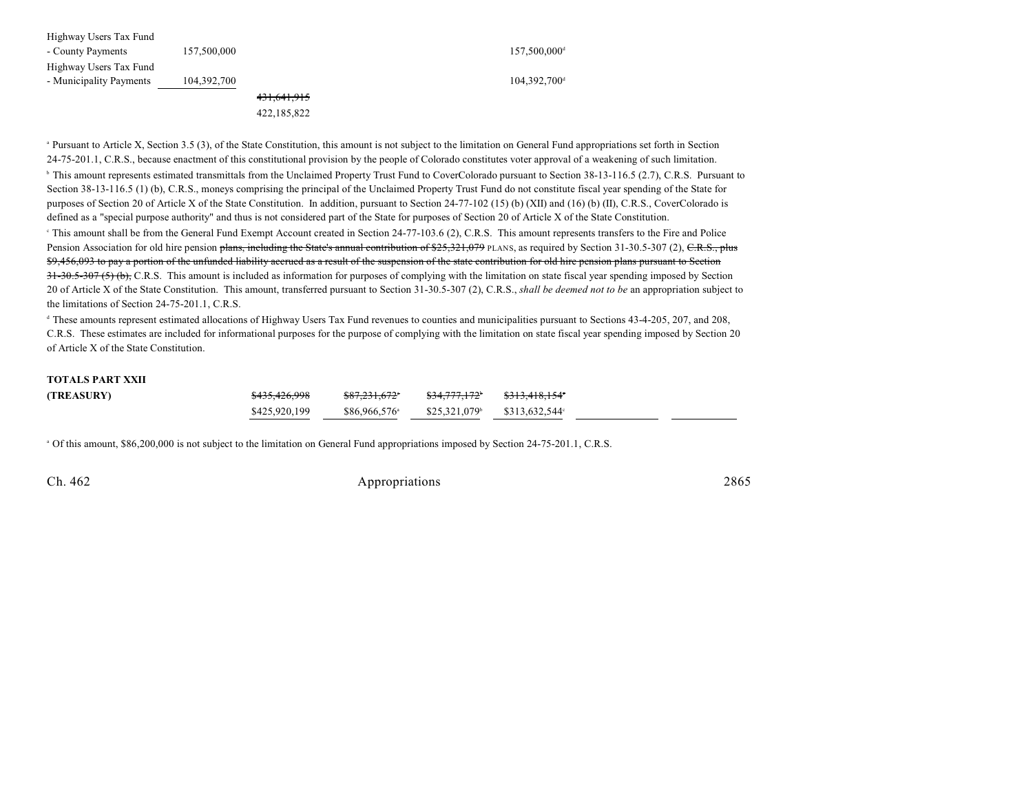| Highway Users Tax Fund  |             |                        |                          |
|-------------------------|-------------|------------------------|--------------------------|
| - County Payments       | 157,500,000 |                        | 157,500,000 <sup>d</sup> |
| Highway Users Tax Fund  |             |                        |                          |
| - Municipality Payments | 104,392,700 |                        | 104.392.700 <sup>d</sup> |
|                         |             | <del>431,641,915</del> |                          |
|                         |             | 422,185,822            |                          |

<sup>a</sup> Pursuant to Article X, Section 3.5 (3), of the State Constitution, this amount is not subject to the limitation on General Fund appropriations set forth in Section 24-75-201.1, C.R.S., because enactment of this constitutional provision by the people of Colorado constitutes voter approval of a weakening of such limitation.

<sup>h</sup> This amount represents estimated transmittals from the Unclaimed Property Trust Fund to CoverColorado pursuant to Section 38-13-116.5 (2.7), C.R.S. Pursuant to Section 38-13-116.5 (1) (b), C.R.S., moneys comprising the principal of the Unclaimed Property Trust Fund do not constitute fiscal year spending of the State for purposes of Section 20 of Article X of the State Constitution. In addition, pursuant to Section 24-77-102 (15) (b) (XII) and (16) (b) (II), C.R.S., CoverColorado is defined as a "special purpose authority" and thus is not considered part of the State for purposes of Section 20 of Article X of the State Constitution. <sup>e</sup> This amount shall be from the General Fund Exempt Account created in Section 24-77-103.6 (2), C.R.S. This amount represents transfers to the Fire and Police Pension Association for old hire pension plans, including the State's annual contribution of \$25,321,079 PLANS, as required by Section 31-30.5-307 (2), C.R.S., plus

\$9,456,093 to pay a portion of the unfunded liability accrued as a result of the suspension of the state contribution for old hire pension plans pursuant to Section 31-30.5-307 (5) (b), C.R.S. This amount is included as information for purposes of complying with the limitation on state fiscal year spending imposed by Section 20 of Article X of the State Constitution. This amount, transferred pursuant to Section 31-30.5-307 (2), C.R.S., *shall be deemed not to be* an appropriation subject to the limitations of Section 24-75-201.1, C.R.S.

<sup>d</sup> These amounts represent estimated allocations of Highway Users Tax Fund revenues to counties and municipalities pursuant to Sections 43-4-205, 207, and 208, C.R.S. These estimates are included for informational purposes for the purpose of complying with the limitation on state fiscal year spending imposed by Section 20 of Article X of the State Constitution.

### **TOTALS PART XXII**

<sup>a</sup> Of this amount, \$86,200,000 is not subject to the limitation on General Fund appropriations imposed by Section 24-75-201.1, C.R.S.

Ch. 462 Appropriations 2865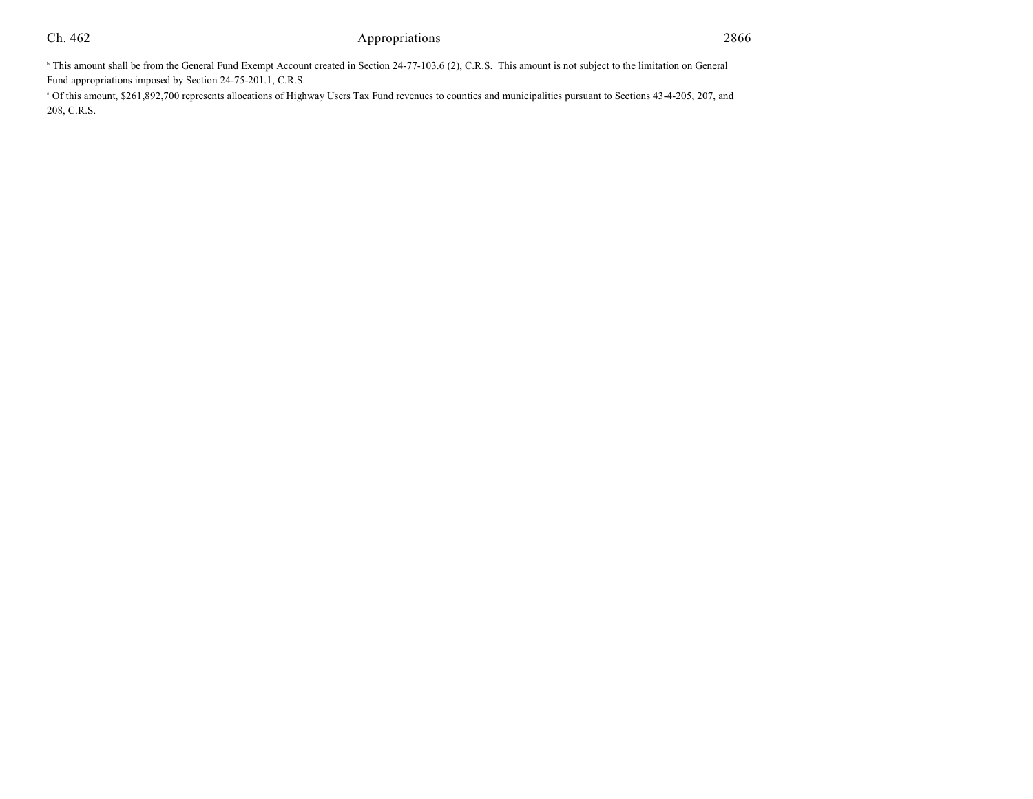## Ch. 462 Appropriations 2866

<sup>b</sup> This amount shall be from the General Fund Exempt Account created in Section 24-77-103.6 (2), C.R.S. This amount is not subject to the limitation on General Fund appropriations imposed by Section 24-75-201.1, C.R.S.

 Of this amount, \$261,892,700 represents allocations of Highway Users Tax Fund revenues to counties and municipalities pursuant to Sections 43-4-205, 207, and <sup>c</sup> 208, C.R.S.